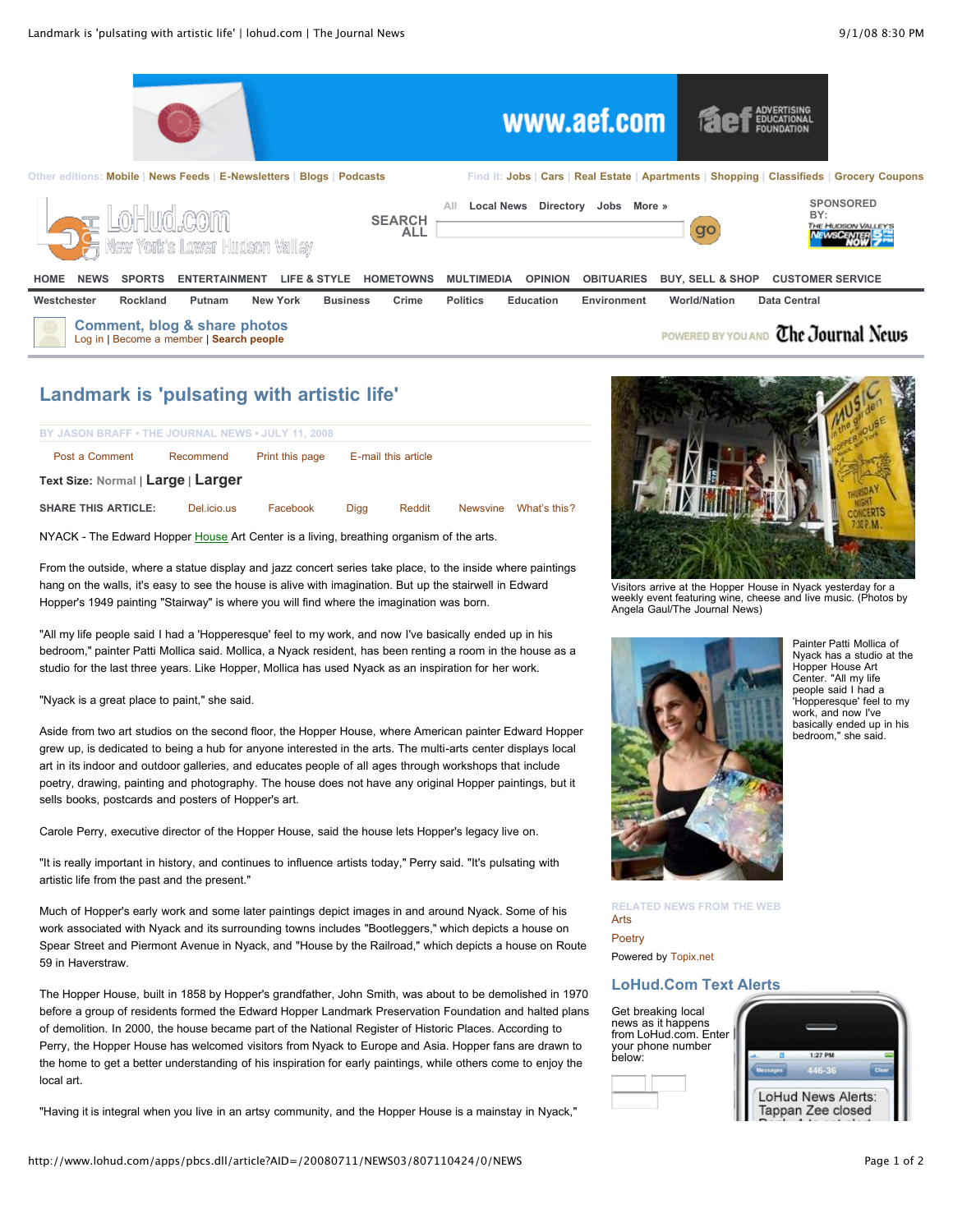

# **Landmark is 'pulsating with artistic life'**

| BY JASON BRAFF • THE JOURNAL NEWS • JULY 11, 2008 |             |                 |                     |        |                 |              |
|---------------------------------------------------|-------------|-----------------|---------------------|--------|-----------------|--------------|
| Post a Comment                                    | Recommend   | Print this page | E-mail this article |        |                 |              |
| Text Size: Normal   Large   Larger                |             |                 |                     |        |                 |              |
| <b>SHARE THIS ARTICLE:</b>                        | Del.icio.us | Facebook        | Diaa                | Reddit | <b>Newsvine</b> | What's this? |

NYACK - The Edward Hopper [House](http://www.lohud.com/apps/pbcs.dll/article?AID=/20080711/NEWS03/807110424/0/NEWS#) Art Center is a living, breathing organism of the arts.

From the outside, where a statue display and jazz concert series take place, to the inside where paintings hang on the walls, it's easy to see the house is alive with imagination. But up the stairwell in Edward Hopper's 1949 painting "Stairway" is where you will find where the imagination was born.

"All my life people said I had a 'Hopperesque' feel to my work, and now I've basically ended up in his bedroom," painter Patti Mollica said. Mollica, a Nyack resident, has been renting a room in the house as a studio for the last three years. Like Hopper, Mollica has used Nyack as an inspiration for her work.

"Nyack is a great place to paint," she said.

Aside from two art studios on the second floor, the Hopper House, where American painter Edward Hopper grew up, is dedicated to being a hub for anyone interested in the arts. The multi-arts center displays local art in its indoor and outdoor galleries, and educates people of all ages through workshops that include poetry, drawing, painting and photography. The house does not have any original Hopper paintings, but it sells books, postcards and posters of Hopper's art.

Carole Perry, executive director of the Hopper House, said the house lets Hopper's legacy live on.

"It is really important in history, and continues to influence artists today," Perry said. "It's pulsating with artistic life from the past and the present."

Much of Hopper's early work and some later paintings depict images in and around Nyack. Some of his work associated with Nyack and its surrounding towns includes "Bootleggers," which depicts a house on Spear Street and Piermont Avenue in Nyack, and "House by the Railroad," which depicts a house on Route 59 in Haverstraw.

The Hopper House, built in 1858 by Hopper's grandfather, John Smith, was about to be demolished in 1970 before a group of residents formed the Edward Hopper Landmark Preservation Foundation and halted plans of demolition. In 2000, the house became part of the National Register of Historic Places. According to Perry, the Hopper House has welcomed visitors from Nyack to Europe and Asia. Hopper fans are drawn to the home to get a better understanding of his inspiration for early paintings, while others come to enjoy the local art.

"Having it is integral when you live in an artsy community, and the Hopper House is a mainstay in Nyack,"



Visitors arrive at the Hopper House in Nyack yesterday for a weekly event featuring wine, cheese and live music. (Photos by Angela Gaul/The Journal News)



Painter Patti Mollica of Nyack has a studio at the Hopper House Art Center. "All my life people said I had a 'Hopperesque' feel to my work, and now I've basically ended up in his bedroom," she said.

**RELATED NEWS FROM THE WEB** [Arts](http://www.topix.net/arts/?p=&s=PB&co=1)

**[Poetry](http://www.topix.net/arts/poetry/?p=&s=PB&co=1)** Powered by [Topix.net](http://www.topix.net/)

## **LoHud.Com Text Alerts**